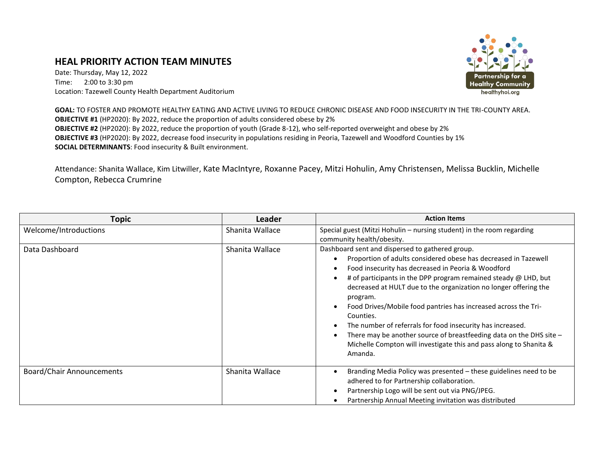## **HEAL PRIORITY ACTION TEAM MINUTES**

Date: Thursday, May 12, 2022 Time: 2:00 to 3:30 pm Location: Tazewell County Health Department Auditorium



**GOAL:** TO FOSTER AND PROMOTE HEALTHY EATING AND ACTIVE LIVING TO REDUCE CHRONIC DISEASE AND FOOD INSECURITY IN THE TRI-COUNTY AREA. **OBJECTIVE #1** (HP2020): By 2022, reduce the proportion of adults considered obese by 2% **OBJECTIVE #2** (HP2020): By 2022, reduce the proportion of youth (Grade 8-12), who self-reported overweight and obese by 2% **OBJECTIVE #3** (HP2020): By 2022, decrease food insecurity in populations residing in Peoria, Tazewell and Woodford Counties by 1% **SOCIAL DETERMINANTS**: Food insecurity & Built environment.

Attendance: Shanita Wallace, Kim Litwiller, Kate MacIntyre, Roxanne Pacey, Mitzi Hohulin, Amy Christensen, Melissa Bucklin, Michelle Compton, Rebecca Crumrine

| <b>Topic</b>                     | <b>Leader</b>   | <b>Action Items</b>                                                                                                                                                                                                                                                                                                                                                                                                                                                                                                                                                                                                                     |
|----------------------------------|-----------------|-----------------------------------------------------------------------------------------------------------------------------------------------------------------------------------------------------------------------------------------------------------------------------------------------------------------------------------------------------------------------------------------------------------------------------------------------------------------------------------------------------------------------------------------------------------------------------------------------------------------------------------------|
| Welcome/Introductions            | Shanita Wallace | Special guest (Mitzi Hohulin - nursing student) in the room regarding<br>community health/obesity.                                                                                                                                                                                                                                                                                                                                                                                                                                                                                                                                      |
| Data Dashboard                   | Shanita Wallace | Dashboard sent and dispersed to gathered group.<br>Proportion of adults considered obese has decreased in Tazewell<br>Food insecurity has decreased in Peoria & Woodford<br># of participants in the DPP program remained steady $\omega$ LHD, but<br>decreased at HULT due to the organization no longer offering the<br>program.<br>Food Drives/Mobile food pantries has increased across the Tri-<br>Counties.<br>The number of referrals for food insecurity has increased.<br>There may be another source of breastfeeding data on the DHS site -<br>Michelle Compton will investigate this and pass along to Shanita &<br>Amanda. |
| <b>Board/Chair Announcements</b> | Shanita Wallace | Branding Media Policy was presented - these guidelines need to be<br>adhered to for Partnership collaboration.<br>Partnership Logo will be sent out via PNG/JPEG.<br>Partnership Annual Meeting invitation was distributed                                                                                                                                                                                                                                                                                                                                                                                                              |